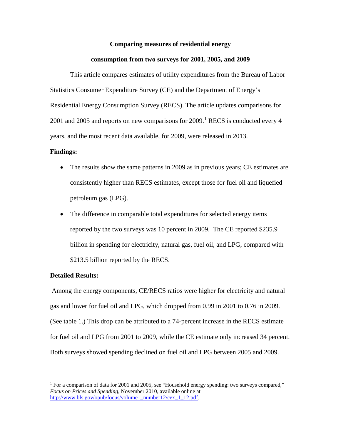# **Comparing measures of residential energy**

#### **consumption from two surveys for 2001, 2005, and 2009**

This article compares estimates of utility expenditures from the Bureau of Labor Statistics Consumer Expenditure Survey (CE) and the Department of Energy's Residential Energy Consumption Survey (RECS). The article updates comparisons for 200[1](#page-0-0) and 2005 and reports on new comparisons for 2009.<sup>1</sup> RECS is conducted every 4 years, and the most recent data available, for 2009, were released in 2013.

#### **Findings:**

- The results show the same patterns in 2009 as in previous years; CE estimates are consistently higher than RECS estimates, except those for fuel oil and liquefied petroleum gas (LPG).
- The difference in comparable total expenditures for selected energy items reported by the two surveys was 10 percent in 2009. The CE reported \$235.9 billion in spending for electricity, natural gas, fuel oil, and LPG, compared with \$213.5 billion reported by the RECS.

# **Detailed Results:**

Among the energy components, CE/RECS ratios were higher for electricity and natural gas and lower for fuel oil and LPG, which dropped from 0.99 in 2001 to 0.76 in 2009. (See table 1.) This drop can be attributed to a 74-percent increase in the RECS estimate for fuel oil and LPG from 2001 to 2009, while the CE estimate only increased 34 percent. Both surveys showed spending declined on fuel oil and LPG between 2005 and 2009.

<span id="page-0-0"></span><sup>&</sup>lt;sup>1</sup> For a comparison of data for 2001 and 2005, see "Household energy spending: two surveys compared," *Focus on Prices and Spending*, November 2010, available online at [http://www.bls.gov/opub/focus/volume1\\_number12/cex\\_1\\_12.pdf.](http://www.bls.gov/opub/focus/volume1_number12/cex_1_12.pdf)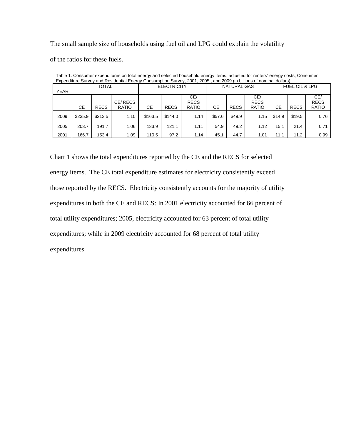The small sample size of households using fuel oil and LPG could explain the volatility of the ratios for these fuels.

| Expenditure Survey and Residential Energy Consumption Survey, 2001, 2005, and 2009 (in billions of nominal dollars) |             |         |             |                         |                    |             |                                    |                    |             |                                    |                           |             |                             |
|---------------------------------------------------------------------------------------------------------------------|-------------|---------|-------------|-------------------------|--------------------|-------------|------------------------------------|--------------------|-------------|------------------------------------|---------------------------|-------------|-----------------------------|
|                                                                                                                     | <b>YEAR</b> | TOTAL   |             |                         | <b>ELECTRICITY</b> |             |                                    | <b>NATURAL GAS</b> |             |                                    | <b>FUEL OIL &amp; LPG</b> |             |                             |
|                                                                                                                     |             | СE      | <b>RECS</b> | CE/RECS<br><b>RATIO</b> | СE                 | <b>RECS</b> | CE/<br><b>RECS</b><br><b>RATIO</b> | СE                 | <b>RECS</b> | CE/<br><b>RECS</b><br><b>RATIO</b> | СE                        | <b>RECS</b> | CE/<br><b>RECS</b><br>RATIO |
|                                                                                                                     | 2009        | \$235.9 | \$213.5     | 1.10                    | \$163.5            | \$144.0     | 1.14                               | \$57.6             | \$49.9      | 1.15                               | \$14.9                    | \$19.5      | 0.76                        |
|                                                                                                                     | 2005        | 203.7   | 191.7       | 1.06                    | 133.9              | 121.1       | 1.11                               | 54.9               | 49.2        | 1.12                               | 15.1                      | 21.4        | 0.71                        |
|                                                                                                                     | 2001        | 166.7   | 153.4       | 1.09                    | 110.5              | 97.2        | 1.14                               | 45.1               | 44.7        | 1.01                               | 11.1                      | 11.2        | 0.99                        |

Table 1. Consumer expenditures on total energy and selected household energy items, adjusted for renters' energy costs, Consumer Expenditure Survey and Residential Energy Consumption Survey, 2001, 2005 , and 2009 (in billions of nominal dollars)

Chart 1 shows the total expenditures reported by the CE and the RECS for selected energy items. The CE total expenditure estimates for electricity consistently exceed those reported by the RECS. Electricity consistently accounts for the majority of utility expenditures in both the CE and RECS: In 2001 electricity accounted for 66 percent of total utility expenditures; 2005, electricity accounted for 63 percent of total utility expenditures; while in 2009 electricity accounted for 68 percent of total utility expenditures.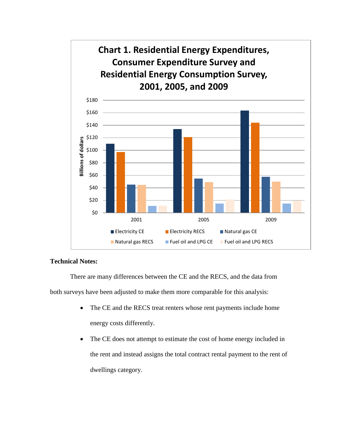

### **Technical Notes:**

There are many differences between the CE and the RECS, and the data from both surveys have been adjusted to make them more comparable for this analysis:

- The CE and the RECS treat renters whose rent payments include home energy costs differently.
- The CE does not attempt to estimate the cost of home energy included in the rent and instead assigns the total contract rental payment to the rent of dwellings category.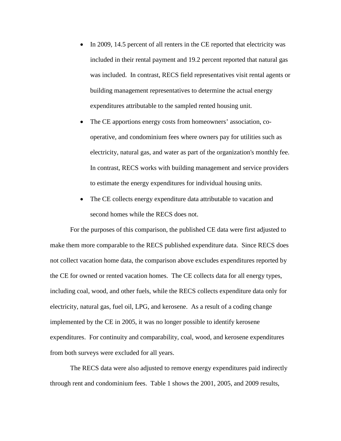- In 2009, 14.5 percent of all renters in the CE reported that electricity was included in their rental payment and 19.2 percent reported that natural gas was included. In contrast, RECS field representatives visit rental agents or building management representatives to determine the actual energy expenditures attributable to the sampled rented housing unit.
- The CE apportions energy costs from homeowners' association, cooperative, and condominium fees where owners pay for utilities such as electricity, natural gas, and water as part of the organization's monthly fee. In contrast, RECS works with building management and service providers to estimate the energy expenditures for individual housing units.
- The CE collects energy expenditure data attributable to vacation and second homes while the RECS does not.

For the purposes of this comparison, the published CE data were first adjusted to make them more comparable to the RECS published expenditure data. Since RECS does not collect vacation home data, the comparison above excludes expenditures reported by the CE for owned or rented vacation homes. The CE collects data for all energy types, including coal, wood, and other fuels, while the RECS collects expenditure data only for electricity, natural gas, fuel oil, LPG, and kerosene. As a result of a coding change implemented by the CE in 2005, it was no longer possible to identify kerosene expenditures. For continuity and comparability, coal, wood, and kerosene expenditures from both surveys were excluded for all years.

The RECS data were also adjusted to remove energy expenditures paid indirectly through rent and condominium fees. Table 1 shows the 2001, 2005, and 2009 results,